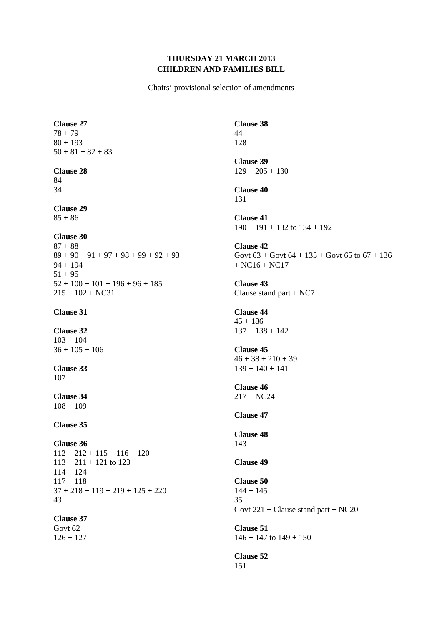### **THURSDAY 21 MARCH 2013 CHILDREN AND FAMILIES BILL**

Chairs' provisional selection of amendments

**Clause 27**  78 + 79 80 + 193  $50 + 81 + 82 + 83$ 

#### **Clause 28**  84

34

**Clause 29**   $85 + 86$ 

### **Clause 30**

 $87 + 88$  $89 + 90 + 91 + 97 + 98 + 99 + 92 + 93$ 94 + 194  $51 + 95$  $52 + 100 + 101 + 196 + 96 + 185$  $215 + 102 + NC31$ 

### **Clause 31**

**Clause 32**   $103 + 104$  $36 + 105 + 106$ 

**Clause 33**  107

**Clause 34**   $108 + 109$ 

## **Clause 35**

**Clause 36**   $112 + 212 + 115 + 116 + 120$  $113 + 211 + 121$  to 123  $114 + 124$  $117 + 118$  $37 + 218 + 119 + 219 + 125 + 220$ 43

# **Clause 37**

Govt 62  $126 + 127$  **Clause 38**  44 128

**Clause 39**   $129 + 205 + 130$ 

**Clause 40**  131

**Clause 41**   $190 + 191 + 132$  to  $134 + 192$ 

**Clause 42**  Govt  $63 +$  Govt  $64 + 135 +$  Govt  $65$  to  $67 + 136$ + NC16 + NC17

**Clause 43**  Clause stand part + NC7

**Clause 44**   $45 + 186$  $137 + 138 + 142$ 

**Clause 45**   $46 + 38 + 210 + 39$  $139 + 140 + 141$ 

**Clause 46** 

 $217 + NC24$ 

**Clause 47** 

**Clause 48**  143

**Clause 49** 

**Clause 50**   $144 + 145$ 35 Govt 221 + Clause stand part + NC20

**Clause 51**   $146 + 147$  to  $149 + 150$ 

**Clause 52**  151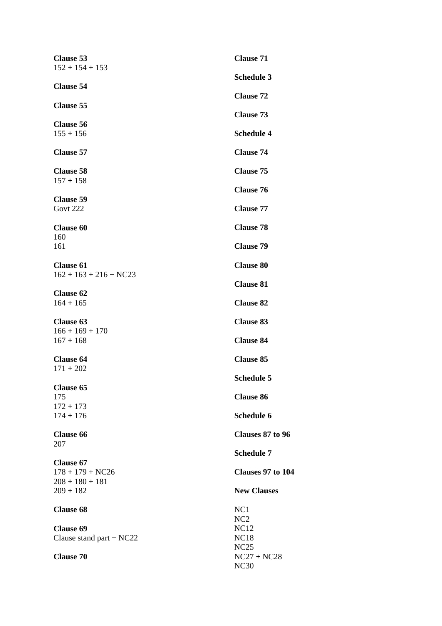| <b>Clause 53</b><br>$152 + 154 + 153$          | <b>Clause 71</b>             |
|------------------------------------------------|------------------------------|
|                                                | <b>Schedule 3</b>            |
| <b>Clause 54</b>                               | <b>Clause 72</b>             |
| <b>Clause 55</b>                               | <b>Clause 73</b>             |
| <b>Clause 56</b><br>$155 + 156$                | <b>Schedule 4</b>            |
|                                                |                              |
| <b>Clause 57</b>                               | <b>Clause 74</b>             |
| <b>Clause 58</b><br>$157 + 158$                | <b>Clause 75</b>             |
| <b>Clause 59</b>                               | <b>Clause 76</b>             |
| Govt 222                                       | <b>Clause 77</b>             |
| <b>Clause 60</b>                               | <b>Clause 78</b>             |
| 160<br>161                                     | <b>Clause 79</b>             |
| <b>Clause 61</b>                               | <b>Clause 80</b>             |
| $162 + 163 + 216 + NC23$                       | <b>Clause 81</b>             |
| <b>Clause 62</b>                               |                              |
| $164 + 165$                                    | <b>Clause 82</b>             |
| <b>Clause 63</b>                               | <b>Clause 83</b>             |
| $166 + 169 + 170$<br>$167 + 168$               | <b>Clause 84</b>             |
| <b>Clause 64</b>                               | <b>Clause 85</b>             |
| $171 + 202$                                    | <b>Schedule 5</b>            |
| <b>Clause 65</b><br>175                        | <b>Clause 86</b>             |
| $172 + 173$                                    |                              |
| $174 + 176$                                    | Schedule 6                   |
| <b>Clause 66</b><br>207                        | Clauses 87 to 96             |
|                                                | <b>Schedule 7</b>            |
| <b>Clause 67</b><br>$178 + 179 + NC26$         | Clauses 97 to 104            |
| $208 + 180 + 181$<br>$209 + 182$               | <b>New Clauses</b>           |
| <b>Clause 68</b>                               | NC1                          |
|                                                | NC <sub>2</sub>              |
| <b>Clause 69</b><br>Clause stand part + $NC22$ | <b>NC12</b><br><b>NC18</b>   |
|                                                | NC25                         |
| <b>Clause 70</b>                               | $NC27 + NC28$<br><b>NC30</b> |